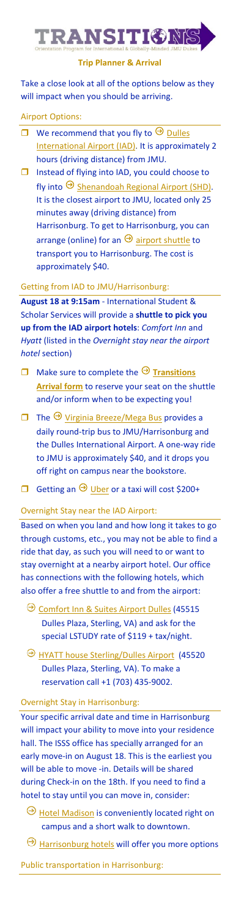# **TRANSITIONS**

#### **Trip Planner & Arrival**

Take a close look at all of the options below as they will impact when you should be arriving.

## Airport Options:

- $\Box$  We recommend that you fly to  $\Theta$  Dulles [International Airport](https://flydulles.com/iad/dulles-international-airport) (IAD). It is approximately 2 hours (driving distance) from JMU.
- $\Box$  Instead of flying into IAD, you could choose to fly into  $\Theta$  [Shenandoah Regional Airport](https://flyshd.com/) (SHD). It is the closest airport to JMU, located only 25 minutes away (driving distance) from Harrisonburg. To get to Harrisonburg, you can arrange (online) for an  $\Theta$  [airport shuttle](https://flyshd.com/shd-shuttle/) to transport you to Harrisonburg. The cost is approximately \$40.

#### Getting from IAD to JMU/Harrisonburg:

**August 18 at 9:15am** - International Student & Scholar Services will provide a **shuttle to pick you up from the IAD airport hotels**: *Comfort Inn* and *Hyatt* (listed in the *Overnight stay near the airport hotel* section)

- $\Box$  Make sure to complete the  $\Theta$  Transitions **[Arrival](https://jmutransportation.questionpro.com/) form** to reserve your seat on the shuttle and/or inform when to be expecting you!
- $\Box$  The  $\Theta$  [Virginia Breeze/Mega Bus](https://us.megabus.com/virginia-breeze) provides a daily round-trip bus to JMU/Harrisonburg and the Dulles International Airport. A one-way ride to JMU is approximately \$40, and it drops you off right on campus near the bookstore.
- Getting an  $\Theta$  [Uber](https://www.uber.com/) or a taxi will cost \$200+

### Overnight Stay near the IAD Airport:

Based on when you land and how long it takes to go through customs, etc., you may not be able to find a ride that day, as such you will need to or want to stay overnight at a nearby airport hotel. Our office has connections with the following hotels, which also offer a free shuttle to and from the airport:

- O [Comfort Inn & Suites Airport Dulles](https://www.choicehotels.com/virginia/sterling/comfort-inn-hotels/va453/rates?ratePlanCode=LSTUDY) (45515 Dulles Plaza, Sterling, VA) and ask for the special LSTUDY rate of \$119 + tax/night.
- **[HYATT house Sterling/Dulles Airport](https://www.hyatt.com/en-US/hotel/virginia/hyatt-house-sterling-dulles-airport-north/iadxd) (45520)** Dulles Plaza, Sterling, VA). To make a reservation call +1 (703) 435-9002.

### Overnight Stay in Harrisonburg:

Your specific arrival date and time in Harrisonburg will impact your ability to move into your residence hall. The ISSS office has specially arranged for an early move-in on August 18. This is the earliest you will be able to move -in. Details will be shared during Check-in on the 18th. If you need to find a hotel to stay until you can move in, consider:

- $\Theta$  [Hotel Madison](https://www.hotelmadison.com/)</u> is conveniently located right on campus and a short walk to downtown.
- **[Harrisonburg hotels](https://www.jmu.edu/orientation/general-info/accommodations.shtml) will offer you more options**
- Public transportation in Harrisonburg: